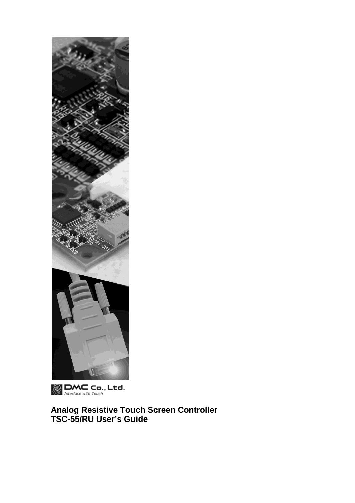

 $\bigotimes_{\text{Interface with Touch}}$  Ltd.

**Analog Resistive Touch Screen Controller TSC-55/RU User's Guide**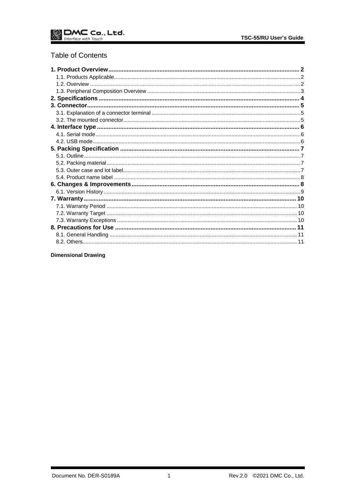# **Table of Contents**

**Dimensional Drawing**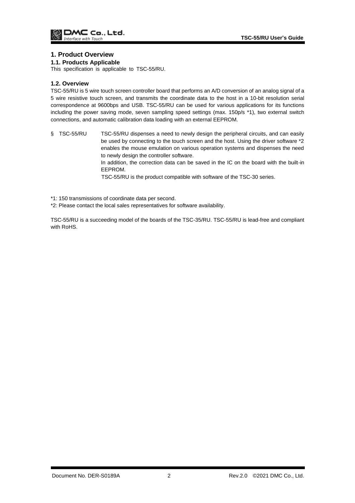### <span id="page-2-0"></span>**1. Product Overview**

#### <span id="page-2-1"></span>**1.1. Products Applicable**

This specification is applicable to TSC-55/RU.

#### <span id="page-2-2"></span>**1.2. Overview**

TSC-55/RU is 5 wire touch screen controller board that performs an A/D conversion of an analog signal of a 5 wire resistive touch screen, and transmits the coordinate data to the host in a 10-bit resolution serial correspondence at 9600bps and USB. TSC-55/RU can be used for various applications for its functions including the power saving mode, seven sampling speed settings (max. 150p/s \*1), two external switch connections, and automatic calibration data loading with an external EEPROM.

§ TSC-55/RU TSC-55/RU dispenses a need to newly design the peripheral circuits, and can easily be used by connecting to the touch screen and the host. Using the driver software \*2 enables the mouse emulation on various operation systems and dispenses the need to newly design the controller software. In addition, the correction data can be saved in the IC on the board with the built-in

EEPROM.

TSC-55/RU is the product compatible with software of the TSC-30 series.

\*1: 150 transmissions of coordinate data per second.

\*2: Please contact the local sales representatives for software availability.

TSC-55/RU is a succeeding model of the boards of the TSC-35/RU. TSC-55/RU is lead-free and compliant with RoHS.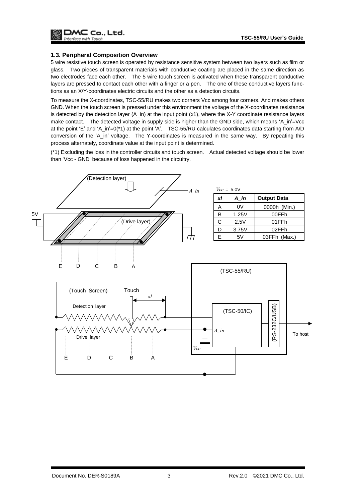#### <span id="page-3-0"></span>**1.3. Peripheral Composition Overview**

5 wire resistive touch screen is operated by resistance sensitive system between two layers such as film or glass. Two pieces of transparent materials with conductive coating are placed in the same direction as two electrodes face each other. The 5 wire touch screen is activated when these transparent conductive layers are pressed to contact each other with a finger or a pen. The one of these conductive layers functions as an X/Y-coordinates electric circuits and the other as a detection circuits.

To measure the X-coordinates, TSC-55/RU makes two corners Vcc among four corners. And makes others GND. When the touch screen is pressed under this environment the voltage of the X-coordinates resistance is detected by the detection layer (A\_in) at the input point (x1), where the X-Y coordinate resistance layers make contact. The detected voltage in supply side is higher than the GND side, which means 'A\_in'=Vcc at the point 'E' and 'A\_in'=0(\*1) at the point 'A'. TSC-55/RU calculates coordinates data starting from A/D conversion of the 'A\_in' voltage. The Y-coordinates is measured in the same way. By repeating this process alternately, coordinate value at the input point is determined.

(\*1) Excluding the loss in the controller circuits and touch screen. Actual detected voltage should be lower than 'Vcc - GND' because of loss happened in the circuitry.

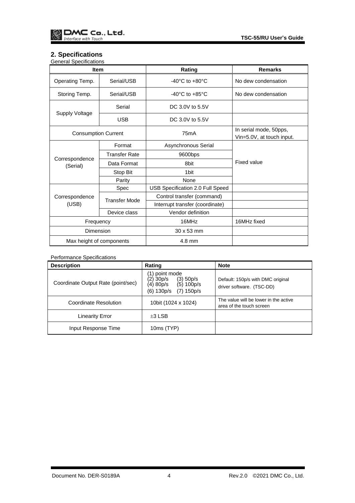# <span id="page-4-0"></span>**2. Specifications**

| <b>General Specifications</b> |                      |                                      |                                                     |  |
|-------------------------------|----------------------|--------------------------------------|-----------------------------------------------------|--|
| <b>Item</b>                   |                      | Rating                               | <b>Remarks</b>                                      |  |
| Operating Temp.               | Serial/USB           | -40 $^{\circ}$ C to +80 $^{\circ}$ C | No dew condensation                                 |  |
| Storing Temp.                 | Serial/USB           | $-40^{\circ}$ C to $+85^{\circ}$ C   | No dew condensation                                 |  |
| Supply Voltage                | Serial               | DC 3.0V to 5.5V                      |                                                     |  |
|                               | <b>USB</b>           | DC 3.0V to 5.5V                      |                                                     |  |
| <b>Consumption Current</b>    |                      | 75 <sub>m</sub> A                    | In serial mode, 50pps,<br>Vin=5.0V, at touch input. |  |
|                               | Format               | Asynchronous Serial                  |                                                     |  |
| Correspondence                | <b>Transfer Rate</b> | 9600bps                              |                                                     |  |
| (Serial)                      | Data Format          | 8bit                                 | <b>Fixed value</b>                                  |  |
|                               | Stop Bit             | 1 <sub>bit</sub>                     |                                                     |  |
|                               | Parity               | None                                 |                                                     |  |
|                               | Spec                 | USB Specification 2.0 Full Speed     |                                                     |  |
| Correspondence                | <b>Transfer Mode</b> | Control transfer (command)           |                                                     |  |
| (USB)                         |                      | Interrupt transfer (coordinate)      |                                                     |  |
|                               | Device class         | Vendor definition                    |                                                     |  |
| Frequency                     |                      | 16MHz                                | 16MHz fixed                                         |  |
| Dimension                     |                      | 30 x 53 mm                           |                                                     |  |
| Max height of components      |                      | 4.8 mm                               |                                                     |  |

## Performance Specifications

| <b>Description</b>                 | Rating                                                                                                   | <b>Note</b>                                                       |
|------------------------------------|----------------------------------------------------------------------------------------------------------|-------------------------------------------------------------------|
| Coordinate Output Rate (point/sec) | (1) point mode<br>(2) 30p/s<br>(3) 50p/s<br>(4) 80p/s<br>$(5)$ 100p/s<br>$(7)$ 150 $p/s$<br>$(6)$ 130p/s | Default: 150p/s with DMC original<br>driver software. (TSC-DD)    |
| Coordinate Resolution              | 10bit (1024 x 1024)                                                                                      | The value will be lower in the active<br>area of the touch screen |
| <b>Linearity Error</b>             | $±3$ LSB                                                                                                 |                                                                   |
| Input Response Time                | 10ms (TYP)                                                                                               |                                                                   |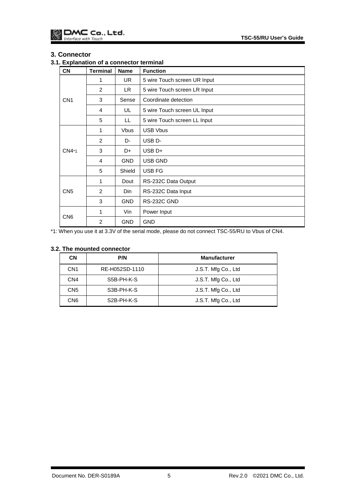## <span id="page-5-0"></span>**3. Connector**

<span id="page-5-1"></span>**3.1. Explanation of a connector terminal**

| <b>CN</b>       | <b>Terminal</b> | <b>Name</b> | <b>Function</b>              |
|-----------------|-----------------|-------------|------------------------------|
| CN <sub>1</sub> | 1               | <b>UR</b>   | 5 wire Touch screen UR Input |
|                 | 2               | LR.         | 5 wire Touch screen LR Input |
|                 | 3               | Sense       | Coordinate detection         |
|                 | 4               | UL          | 5 wire Touch screen UL Input |
|                 | 5               | LL          | 5 wire Touch screen LL Input |
|                 | $\mathbf{1}$    | <b>Vbus</b> | <b>USB Vbus</b>              |
|                 | 2               | D-          | USB <sub>D</sub> -           |
| CN4*1           | 3               | D+          | $USB D+$                     |
|                 | 4               | <b>GND</b>  | USB GND                      |
|                 | 5               | Shield      | USB FG                       |
| CN <sub>5</sub> | $\mathbf{1}$    | Dout        | RS-232C Data Output          |
|                 | 2               | Din         | RS-232C Data Input           |
|                 | 3               | <b>GND</b>  | RS-232C GND                  |
| CN <sub>6</sub> | 1               | Vin         | Power Input                  |
|                 | $\overline{2}$  | <b>GND</b>  | <b>GND</b>                   |

\*1: When you use it at 3.3V of the serial mode, please do not connect TSC-55/RU to Vbus of CN4.

## <span id="page-5-2"></span>**3.2. The mounted connector**

| <b>CN</b>       | P/N                     | <b>Manufacturer</b> |
|-----------------|-------------------------|---------------------|
| CN <sub>1</sub> | RE-H052SD-1110          | J.S.T. Mfg Co., Ltd |
| CN <sub>4</sub> | S5B-PH-K-S              | J.S.T. Mfg Co., Ltd |
| CN <sub>5</sub> | S3B-PH-K-S              | J.S.T. Mfg Co., Ltd |
| CN <sub>6</sub> | S <sub>2</sub> B-PH-K-S | J.S.T. Mfg Co., Ltd |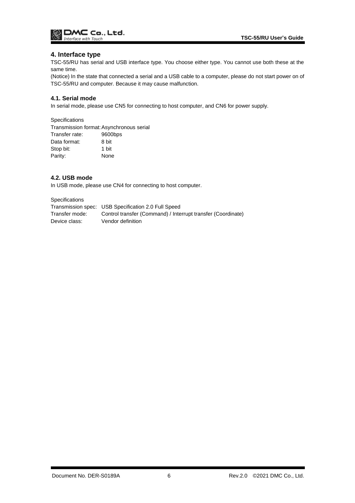

## <span id="page-6-0"></span>**4. Interface type**

TSC-55/RU has serial and USB interface type. You choose either type. You cannot use both these at the same time.

(Notice) In the state that connected a serial and a USB cable to a computer, please do not start power on of TSC-55/RU and computer. Because it may cause malfunction.

### <span id="page-6-1"></span>**4.1. Serial mode**

In serial mode, please use CN5 for connecting to host computer, and CN6 for power supply.

#### **Specifications**

Transmission format:Asynchronous serial Transfer rate: 9600bps Data format: 8 bit Stop bit: 1 bit Parity: None

#### <span id="page-6-2"></span>**4.2. USB mode**

In USB mode, please use CN4 for connecting to host computer.

Specifications

|                | Transmission spec: USB Specification 2.0 Full Speed          |
|----------------|--------------------------------------------------------------|
| Transfer mode: | Control transfer (Command) / Interrupt transfer (Coordinate) |
| Device class:  | Vendor definition                                            |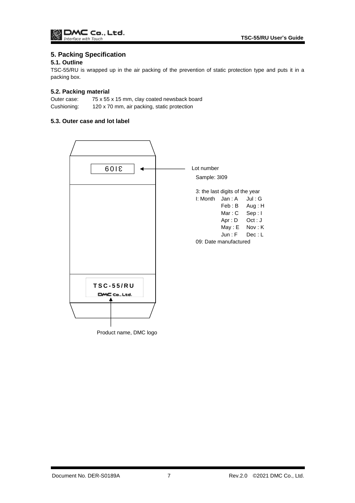# <span id="page-7-0"></span>**5. Packing Specification**

## <span id="page-7-1"></span>**5.1. Outline**

TSC-55/RU is wrapped up in the air packing of the prevention of static protection type and puts it in a packing box.

## <span id="page-7-2"></span>**5.2. Packing material**

Outer case: 75 x 55 x 15 mm, clay coated newsback board Cushioning: 120 x 70 mm, air packing, static protection

## <span id="page-7-3"></span>**5.3. Outer case and lot label**

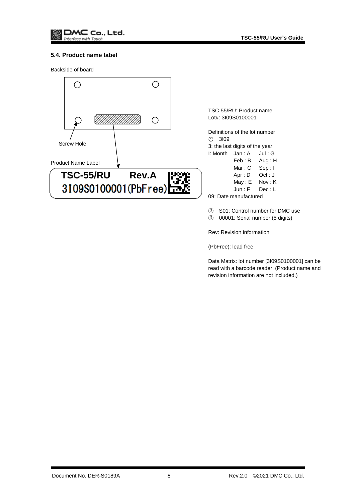

#### <span id="page-8-0"></span>**5.4. Product name label**

Backside of board

<span id="page-8-1"></span>

Rev: Revision information

(PbFree): lead free

Data Matrix: lot number [3I09S0100001] can be read with a barcode reader. (Product name and revision information are not included.)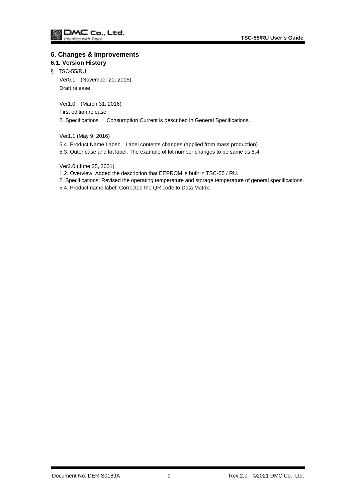### **6. Changes & Improvements**

## <span id="page-9-0"></span>**6.1. Version History**

§ TSC-55/RU

Ver0.1 (November 20, 2015) Draft release

Ver1.0 (March 31, 2016)

First edition release

2. Specifications Consumption Current is described in General Specifications.

Ver1.1 (May 9, 2016)

- 5.4. Product Name Label: Label contents changes (applied from mass production)
- 5.3. Outer case and lot label: The example of lot number changes to be same as 5.4.

Ver2.0 (June 25, 2021)

1.2. Overview: Added the description that EEPROM is built in TSC-55 / RU.

- 2. Specifications: Revised the operating temperature and storage temperature of general specifications.
- 5.4. Product name label: Corrected the QR code to Data Matrix.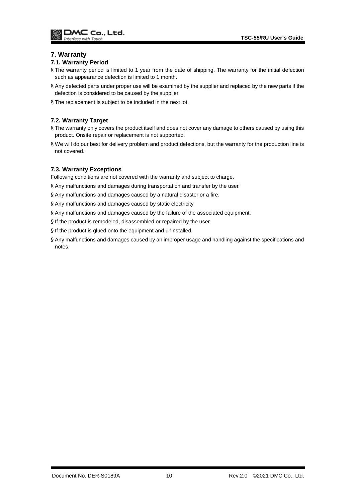## <span id="page-10-0"></span>**7. Warranty**

#### <span id="page-10-1"></span>**7.1. Warranty Period**

- § The warranty period is limited to 1 year from the date of shipping. The warranty for the initial defection such as appearance defection is limited to 1 month.
- § Any defected parts under proper use will be examined by the supplier and replaced by the new parts if the defection is considered to be caused by the supplier.
- § The replacement is subject to be included in the next lot.

## <span id="page-10-2"></span>**7.2. Warranty Target**

- § The warranty only covers the product itself and does not cover any damage to others caused by using this product. Onsite repair or replacement is not supported.
- § We will do our best for delivery problem and product defections, but the warranty for the production line is not covered.

#### <span id="page-10-3"></span>**7.3. Warranty Exceptions**

Following conditions are not covered with the warranty and subject to charge.

- § Any malfunctions and damages during transportation and transfer by the user.
- § Any malfunctions and damages caused by a natural disaster or a fire.
- § Any malfunctions and damages caused by static electricity
- § Any malfunctions and damages caused by the failure of the associated equipment.
- § If the product is remodeled, disassembled or repaired by the user.
- § If the product is glued onto the equipment and uninstalled.
- § Any malfunctions and damages caused by an improper usage and handling against the specifications and notes.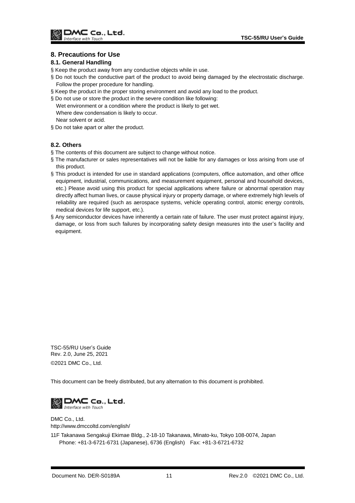## <span id="page-11-0"></span>**8. Precautions for Use**

#### <span id="page-11-1"></span>**8.1. General Handling**

- § Keep the product away from any conductive objects while in use.
- § Do not touch the conductive part of the product to avoid being damaged by the electrostatic discharge. Follow the proper procedure for handling.
- § Keep the product in the proper storing environment and avoid any load to the product.
- § Do not use or store the product in the severe condition like following:
- Wet environment or a condition where the product is likely to get wet. Where dew condensation is likely to occur. Near solvent or acid.
- § Do not take apart or alter the product.

## <span id="page-11-2"></span>**8.2. Others**

- § The contents of this document are subject to change without notice.
- § The manufacturer or sales representatives will not be liable for any damages or loss arising from use of this product.
- § This product is intended for use in standard applications (computers, office automation, and other office equipment, industrial, communications, and measurement equipment, personal and household devices, etc.) Please avoid using this product for special applications where failure or abnormal operation may directly affect human lives, or cause physical injury or property damage, or where extremely high levels of reliability are required (such as aerospace systems, vehicle operating control, atomic energy controls, medical devices for life support, etc.).
- § Any semiconductor devices have inherently a certain rate of failure. The user must protect against injury, damage, or loss from such failures by incorporating safety design measures into the user's facility and equipment.

TSC-55/RU User's Guide Rev. 2.0, June 25, 2021 ©2021 DMC Co., Ltd.

This document can be freely distributed, but any alternation to this document is prohibited.



DMC Co., Ltd. http://www.dmccoltd.com/english/

11F Takanawa Sengakuji Ekimae Bldg., 2-18-10 Takanawa, Minato-ku, Tokyo 108-0074, Japan Phone: +81-3-6721-6731 (Japanese), 6736 (English) Fax: +81-3-6721-6732